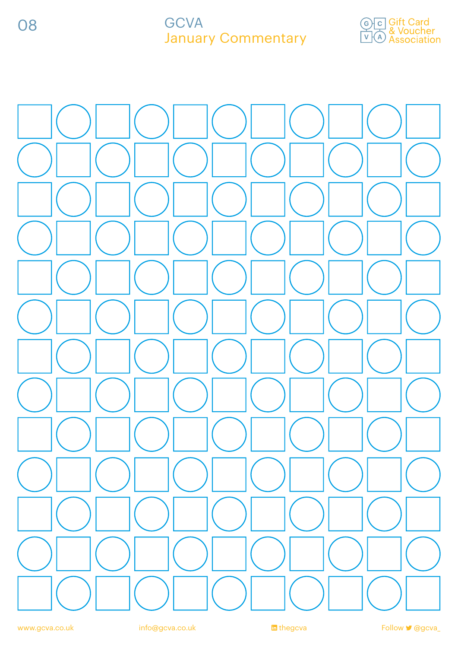08

### **GCVA** January Commentary



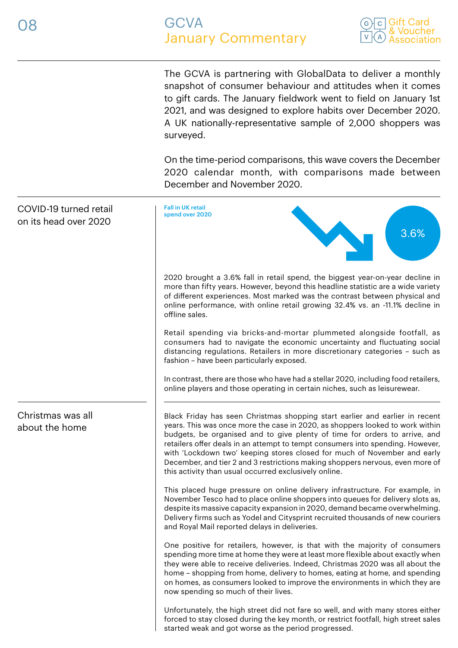

The GCVA is partnering with GlobalData to deliver a monthly snapshot of consumer behaviour and attitudes when it comes to gift cards. The January fieldwork went to field on January 1st 2021, and was designed to explore habits over December 2020. A UK nationally-representative sample of 2,000 shoppers was surveyed.

On the time-period comparisons, this wave covers the December 2020 calendar month, with comparisons made between December and November 2020.

| COVID-19 turned retail<br>on its head over 2020 | <b>Fall in UK retail</b><br>spend over 2020<br>3.6%                                                                                                                                                                                                                                                                                                                                                                                                                                                                                                 |
|-------------------------------------------------|-----------------------------------------------------------------------------------------------------------------------------------------------------------------------------------------------------------------------------------------------------------------------------------------------------------------------------------------------------------------------------------------------------------------------------------------------------------------------------------------------------------------------------------------------------|
|                                                 | 2020 brought a 3.6% fall in retail spend, the biggest year-on-year decline in<br>more than fifty years. However, beyond this headline statistic are a wide variety<br>of different experiences. Most marked was the contrast between physical and<br>online performance, with online retail growing 32.4% vs. an -11.1% decline in<br>offline sales.                                                                                                                                                                                                |
|                                                 | Retail spending via bricks-and-mortar plummeted alongside footfall, as<br>consumers had to navigate the economic uncertainty and fluctuating social<br>distancing regulations. Retailers in more discretionary categories - such as<br>fashion - have been particularly exposed.                                                                                                                                                                                                                                                                    |
|                                                 | In contrast, there are those who have had a stellar 2020, including food retailers,<br>online players and those operating in certain niches, such as leisurewear.                                                                                                                                                                                                                                                                                                                                                                                   |
| Christmas was all<br>about the home             | Black Friday has seen Christmas shopping start earlier and earlier in recent<br>years. This was once more the case in 2020, as shoppers looked to work within<br>budgets, be organised and to give plenty of time for orders to arrive, and<br>retailers offer deals in an attempt to tempt consumers into spending. However,<br>with 'Lockdown two' keeping stores closed for much of November and early<br>December, and tier 2 and 3 restrictions making shoppers nervous, even more of<br>this activity than usual occurred exclusively online. |
|                                                 | This placed huge pressure on online delivery infrastructure. For example, in<br>November Tesco had to place online shoppers into queues for delivery slots as,<br>despite its massive capacity expansion in 2020, demand became overwhelming.<br>Delivery firms such as Yodel and Citysprint recruited thousands of new couriers<br>and Royal Mail reported delays in deliveries.                                                                                                                                                                   |
|                                                 | One positive for retailers, however, is that with the majority of consumers<br>spending more time at home they were at least more flexible about exactly when<br>they were able to receive deliveries. Indeed, Christmas 2020 was all about the<br>home - shopping from home, delivery to homes, eating at home, and spending<br>on homes, as consumers looked to improve the environments in which they are<br>now spending so much of their lives.                                                                                                |
|                                                 | Unfortunately, the high street did not fare so well, and with many stores either<br>forced to stay closed during the key month, or restrict footfall, high street sales<br>started weak and got worse as the period progressed.                                                                                                                                                                                                                                                                                                                     |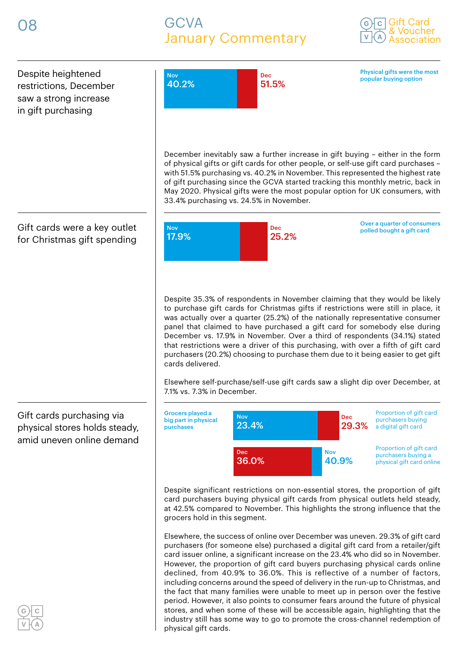# GCVA January Commentary





physical gift cards.